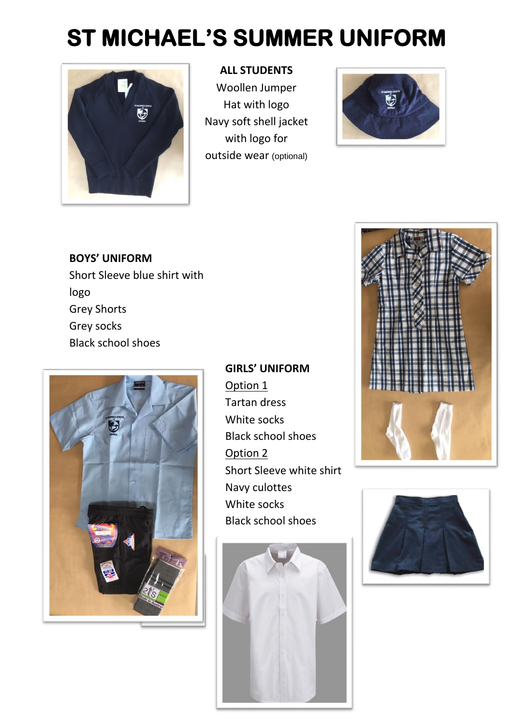# **ST MICHAEL'S SUMMER UNIFORM**



### **ALL STUDENTS**

Woollen Jumper Hat with logo Navy soft shell jacket with logo for outside wear (optional)



**BOYS' UNIFORM** Short Sleeve blue shirt with logo Grey Shorts Grey socks Black school shoes



**GIRLS' UNIFORM** Option 1 Tartan dress White socks Black school shoes Option 2 Short Sleeve white shirt Navy culottes White socks Black school shoes





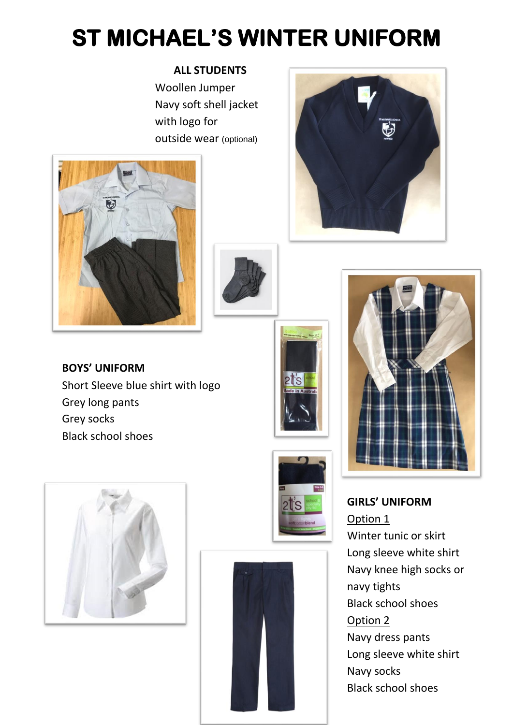## **ST MICHAEL'S WINTER UNIFORM**

### **ALL STUDENTS**

Woollen Jumper Navy soft shell jacket with logo for outside wear (optional)





**BOYS' UNIFORM** Short Sleeve blue shirt with logo Grey long pants Grey socks Black school shoes











**GIRLS' UNIFORM** Option 1 Winter tunic or skirt Long sleeve white shirt Navy knee high socks or navy tights Black school shoes Option 2 Navy dress pants Long sleeve white shirt Navy socks Black school shoes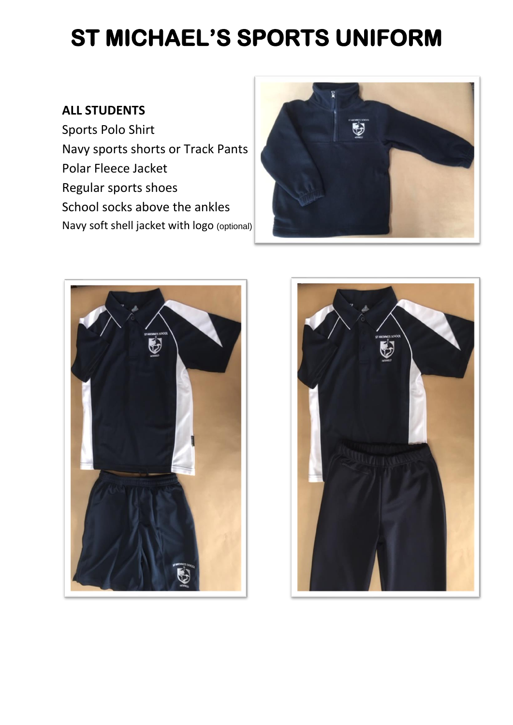## **ST MICHAEL'S SPORTS UNIFORM**

## **ALL STUDENTS**

Sports Polo Shirt Navy sports shorts or Track Pants Polar Fleece Jacket Regular sports shoes School socks above the ankles Navy soft shell jacket with logo (optional)